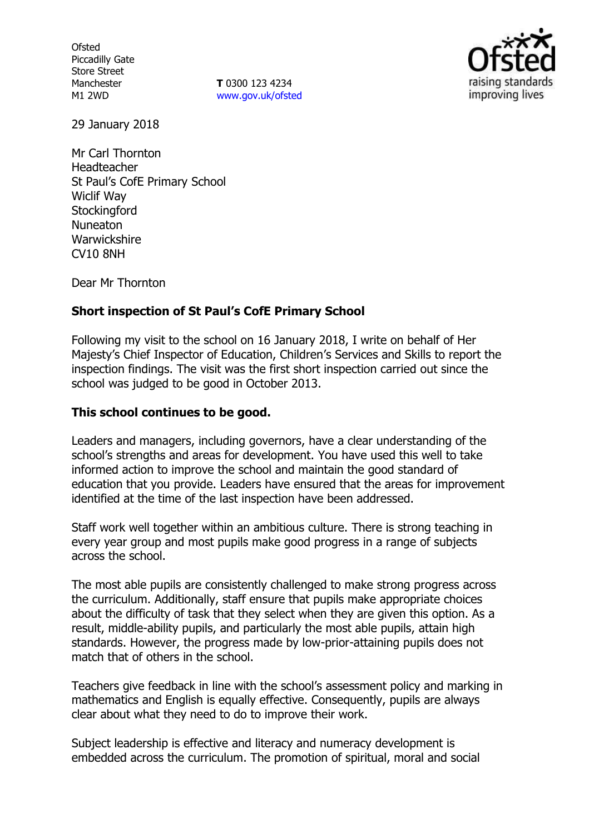**Ofsted** Piccadilly Gate Store Street Manchester M1 2WD

**T** 0300 123 4234 www.gov.uk/ofsted



29 January 2018

Mr Carl Thornton Headteacher St Paul's CofE Primary School Wiclif Way **Stockingford** Nuneaton **Warwickshire** CV10 8NH

Dear Mr Thornton

# **Short inspection of St Paul's CofE Primary School**

Following my visit to the school on 16 January 2018, I write on behalf of Her Majesty's Chief Inspector of Education, Children's Services and Skills to report the inspection findings. The visit was the first short inspection carried out since the school was judged to be good in October 2013.

# **This school continues to be good.**

Leaders and managers, including governors, have a clear understanding of the school's strengths and areas for development. You have used this well to take informed action to improve the school and maintain the good standard of education that you provide. Leaders have ensured that the areas for improvement identified at the time of the last inspection have been addressed.

Staff work well together within an ambitious culture. There is strong teaching in every year group and most pupils make good progress in a range of subjects across the school.

The most able pupils are consistently challenged to make strong progress across the curriculum. Additionally, staff ensure that pupils make appropriate choices about the difficulty of task that they select when they are given this option. As a result, middle-ability pupils, and particularly the most able pupils, attain high standards. However, the progress made by low-prior-attaining pupils does not match that of others in the school.

Teachers give feedback in line with the school's assessment policy and marking in mathematics and English is equally effective. Consequently, pupils are always clear about what they need to do to improve their work.

Subject leadership is effective and literacy and numeracy development is embedded across the curriculum. The promotion of spiritual, moral and social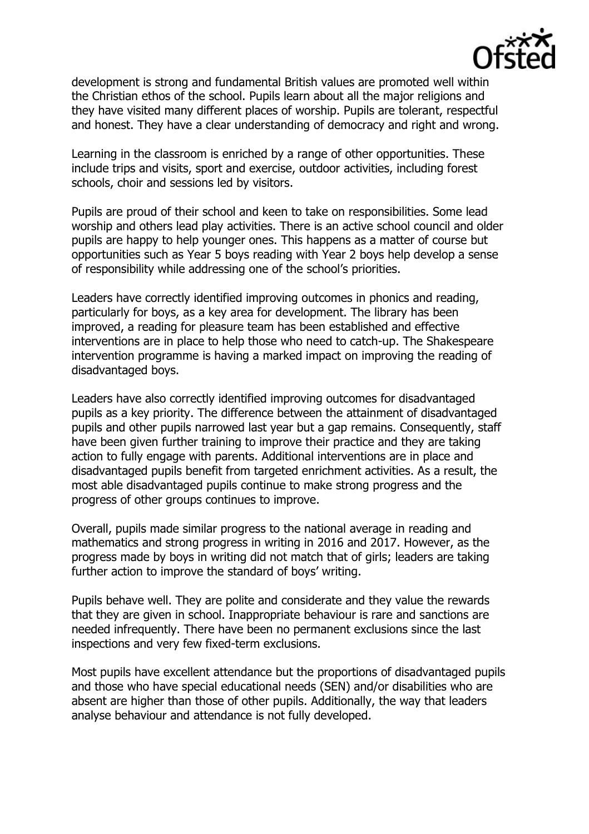

development is strong and fundamental British values are promoted well within the Christian ethos of the school. Pupils learn about all the major religions and they have visited many different places of worship. Pupils are tolerant, respectful and honest. They have a clear understanding of democracy and right and wrong.

Learning in the classroom is enriched by a range of other opportunities. These include trips and visits, sport and exercise, outdoor activities, including forest schools, choir and sessions led by visitors.

Pupils are proud of their school and keen to take on responsibilities. Some lead worship and others lead play activities. There is an active school council and older pupils are happy to help younger ones. This happens as a matter of course but opportunities such as Year 5 boys reading with Year 2 boys help develop a sense of responsibility while addressing one of the school's priorities.

Leaders have correctly identified improving outcomes in phonics and reading, particularly for boys, as a key area for development. The library has been improved, a reading for pleasure team has been established and effective interventions are in place to help those who need to catch-up. The Shakespeare intervention programme is having a marked impact on improving the reading of disadvantaged boys.

Leaders have also correctly identified improving outcomes for disadvantaged pupils as a key priority. The difference between the attainment of disadvantaged pupils and other pupils narrowed last year but a gap remains. Consequently, staff have been given further training to improve their practice and they are taking action to fully engage with parents. Additional interventions are in place and disadvantaged pupils benefit from targeted enrichment activities. As a result, the most able disadvantaged pupils continue to make strong progress and the progress of other groups continues to improve.

Overall, pupils made similar progress to the national average in reading and mathematics and strong progress in writing in 2016 and 2017. However, as the progress made by boys in writing did not match that of girls; leaders are taking further action to improve the standard of boys' writing.

Pupils behave well. They are polite and considerate and they value the rewards that they are given in school. Inappropriate behaviour is rare and sanctions are needed infrequently. There have been no permanent exclusions since the last inspections and very few fixed-term exclusions.

Most pupils have excellent attendance but the proportions of disadvantaged pupils and those who have special educational needs (SEN) and/or disabilities who are absent are higher than those of other pupils. Additionally, the way that leaders analyse behaviour and attendance is not fully developed.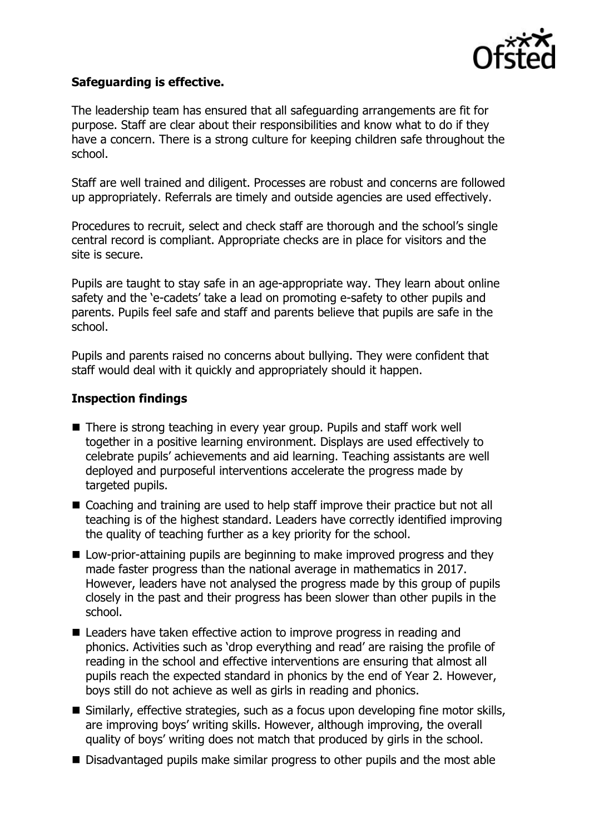

# **Safeguarding is effective.**

The leadership team has ensured that all safeguarding arrangements are fit for purpose. Staff are clear about their responsibilities and know what to do if they have a concern. There is a strong culture for keeping children safe throughout the school.

Staff are well trained and diligent. Processes are robust and concerns are followed up appropriately. Referrals are timely and outside agencies are used effectively.

Procedures to recruit, select and check staff are thorough and the school's single central record is compliant. Appropriate checks are in place for visitors and the site is secure.

Pupils are taught to stay safe in an age-appropriate way. They learn about online safety and the 'e-cadets' take a lead on promoting e-safety to other pupils and parents. Pupils feel safe and staff and parents believe that pupils are safe in the school.

Pupils and parents raised no concerns about bullying. They were confident that staff would deal with it quickly and appropriately should it happen.

# **Inspection findings**

- There is strong teaching in every year group. Pupils and staff work well together in a positive learning environment. Displays are used effectively to celebrate pupils' achievements and aid learning. Teaching assistants are well deployed and purposeful interventions accelerate the progress made by targeted pupils.
- Coaching and training are used to help staff improve their practice but not all teaching is of the highest standard. Leaders have correctly identified improving the quality of teaching further as a key priority for the school.
- **Low-prior-attaining pupils are beginning to make improved progress and they** made faster progress than the national average in mathematics in 2017. However, leaders have not analysed the progress made by this group of pupils closely in the past and their progress has been slower than other pupils in the school.
- Leaders have taken effective action to improve progress in reading and phonics. Activities such as 'drop everything and read' are raising the profile of reading in the school and effective interventions are ensuring that almost all pupils reach the expected standard in phonics by the end of Year 2. However, boys still do not achieve as well as girls in reading and phonics.
- Similarly, effective strategies, such as a focus upon developing fine motor skills, are improving boys' writing skills. However, although improving, the overall quality of boys' writing does not match that produced by girls in the school.
- Disadvantaged pupils make similar progress to other pupils and the most able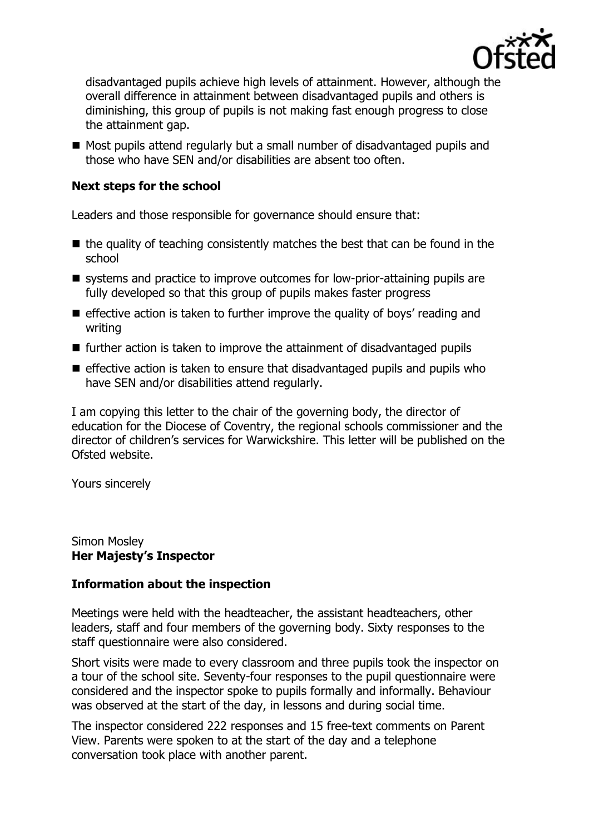

disadvantaged pupils achieve high levels of attainment. However, although the overall difference in attainment between disadvantaged pupils and others is diminishing, this group of pupils is not making fast enough progress to close the attainment gap.

Most pupils attend regularly but a small number of disadvantaged pupils and those who have SEN and/or disabilities are absent too often.

# **Next steps for the school**

Leaders and those responsible for governance should ensure that:

- $\blacksquare$  the quality of teaching consistently matches the best that can be found in the school
- systems and practice to improve outcomes for low-prior-attaining pupils are fully developed so that this group of pupils makes faster progress
- $\blacksquare$  effective action is taken to further improve the quality of boys' reading and writing
- $\blacksquare$  further action is taken to improve the attainment of disadvantaged pupils
- $\blacksquare$  effective action is taken to ensure that disadvantaged pupils and pupils who have SEN and/or disabilities attend regularly.

I am copying this letter to the chair of the governing body, the director of education for the Diocese of Coventry, the regional schools commissioner and the director of children's services for Warwickshire. This letter will be published on the Ofsted website.

Yours sincerely

Simon Mosley **Her Majesty's Inspector**

# **Information about the inspection**

Meetings were held with the headteacher, the assistant headteachers, other leaders, staff and four members of the governing body. Sixty responses to the staff questionnaire were also considered.

Short visits were made to every classroom and three pupils took the inspector on a tour of the school site. Seventy-four responses to the pupil questionnaire were considered and the inspector spoke to pupils formally and informally. Behaviour was observed at the start of the day, in lessons and during social time.

The inspector considered 222 responses and 15 free-text comments on Parent View. Parents were spoken to at the start of the day and a telephone conversation took place with another parent.